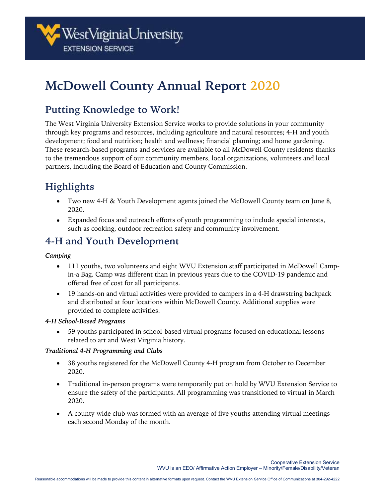

# **McDowell County Annual Report 2020**

# **Putting Knowledge to Work!**

The West Virginia University Extension Service works to provide solutions in your community through key programs and resources, including agriculture and natural resources; 4-H and youth development; food and nutrition; health and wellness; financial planning; and home gardening. These research-based programs and services are available to all McDowell County residents thanks to the tremendous support of our community members, local organizations, volunteers and local partners, including the Board of Education and County Commission.

# **Highlights**

- Two new 4-H & Youth Development agents joined the McDowell County team on June 8, 2020.
- Expanded focus and outreach efforts of youth programming to include special interests, such as cooking, outdoor recreation safety and community involvement.

# **4-H and Youth Development**

#### *Camping*

- 111 youths, two volunteers and eight WVU Extension staff participated in McDowell Campin-a Bag. Camp was different than in previous years due to the COVID-19 pandemic and offered free of cost for all participants.
- 19 hands-on and virtual activities were provided to campers in a 4-H drawstring backpack and distributed at four locations within McDowell County. Additional supplies were provided to complete activities.

#### *4-H School-Based Programs*

• 59 youths participated in school-based virtual programs focused on educational lessons related to art and West Virginia history.

#### *Traditional 4-H Programming and Clubs*

- 38 youths registered for the McDowell County 4-H program from October to December 2020.
- Traditional in-person programs were temporarily put on hold by WVU Extension Service to ensure the safety of the participants. All programming was transitioned to virtual in March 2020.
- A county-wide club was formed with an average of five youths attending virtual meetings each second Monday of the month.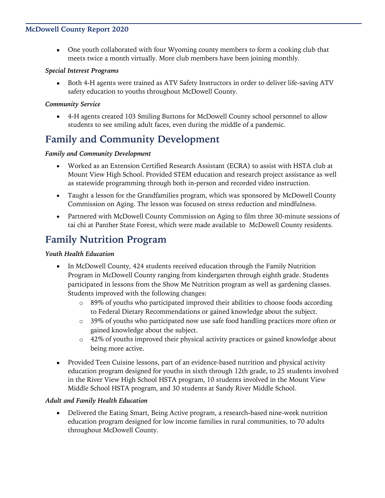#### **McDowell County Report 2020**

• One youth collaborated with four Wyoming county members to form a cooking club that meets twice a month virtually. More club members have been joining monthly.

#### *Special Interest Programs*

• Both 4-H agents were trained as ATV Safety Instructors in order to deliver life-saving ATV safety education to youths throughout McDowell County.

#### *Community Service*

• 4-H agents created 103 Smiling Buttons for McDowell County school personnel to allow students to see smiling adult faces, even during the middle of a pandemic.

## **Family and Community Development**

#### *Family and Community Development*

- Worked as an Extension Certified Research Assistant (ECRA) to assist with HSTA club at Mount View High School. Provided STEM education and research project assistance as well as statewide programming through both in-person and recorded video instruction.
- Taught a lesson for the Grandfamilies program, which was sponsored by McDowell County Commission on Aging. The lesson was focused on stress reduction and mindfulness.
- Partnered with McDowell County Commission on Aging to film three 30-minute sessions of tai chi at Panther State Forest, which were made available to McDowell County residents.

### **Family Nutrition Program**

#### *Youth Health Education*

- In McDowell County, 424 students received education through the Family Nutrition Program in McDowell County ranging from kindergarten through eighth grade. Students participated in lessons from the Show Me Nutrition program as well as gardening classes. Students improved with the following changes:
	- $\circ$  89% of youths who participated improved their abilities to choose foods according to Federal Dietary Recommendations or gained knowledge about the subject.
	- o 39% of youths who participated now use safe food handling practices more often or gained knowledge about the subject.
	- o 42% of youths improved their physical activity practices or gained knowledge about being more active.
- Provided Teen Cuisine lessons, part of an evidence-based nutrition and physical activity education program designed for youths in sixth through 12th grade, to 25 students involved in the River View High School HSTA program, 10 students involved in the Mount View Middle School HSTA program, and 30 students at Sandy River Middle School.

#### *Adult and Family Health Education*

• Delivered the Eating Smart, Being Active program, a research-based nine-week nutrition education program designed for low income families in rural communities, to 70 adults throughout McDowell County.